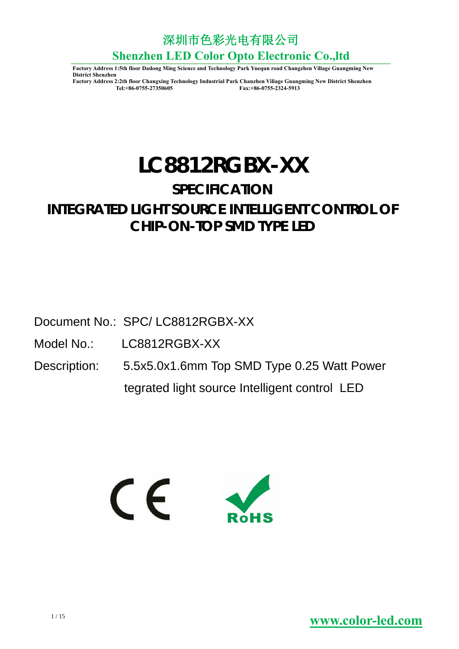深圳市色彩光电有限公司

**Shenzhen LED Color Opto Electronic Co.,ltd**

**Factory Address 1:5th floor Dadong Ming Science and Technology Park Yuequn road Changzhen Viliage Guangming New District Shenzhen**

**Factory Address 2:2th floor Changxing Technology Industrial Park Chanzhen Viliage Guangming New District Shenzhen Tel:+86-0755-27350605 Fax:+86-0755-2324-5913**

# **LC8812RGBX-XX**

## **SPECIFICATION**

## **INTEGRATED LIGHT SOURCE INTELLIGENT CONTROL OF CHIP-ON-TOP SMD TYPE LED**

Document No.: SPC/ LC8812RGBX-XX

Model No.: LC8812RGBX-XX

Description: 5.5x5.0x1.6mm Top SMD Type 0.25 Watt Power tegrated light source Intelligent control LED

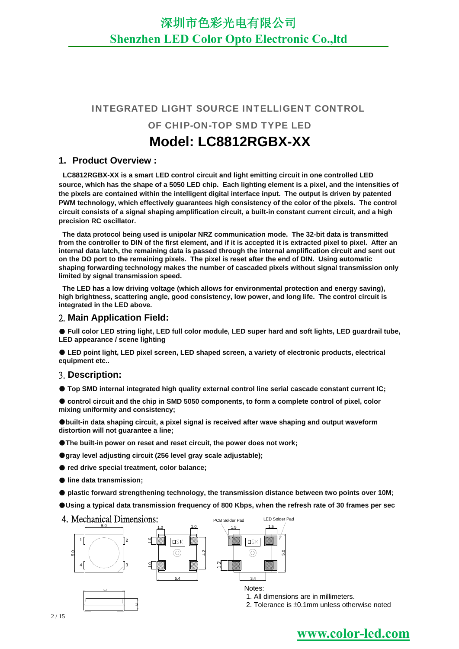### INTEGRATED LIGHT SOURCE INTELLIGENT CONTROL

OF CHIP-ON-TOP SMD TYPE LED

## **Model: LC8812RGBX-XX**

#### **1. Product Overview :**

**LC8812RGBX-XX is a smart LED control circuit and light emitting circuit in one controlled LED source, which has the shape of a 5050 LED chip. Each lighting element is a pixel, and the intensities of the pixels are contained within the intelligent digital interface input. The output is driven by patented PWM technology, which effectively guarantees high consistency of the color of the pixels. The control circuit consists of a signal shaping amplification circuit, a built-in constant current circuit, and a high precision RC oscillator.**

**The data protocol being used is unipolar NRZ communication mode. The 32-bit data is transmitted from the controller to DIN of the first element, and if it is accepted it is extracted pixel to pixel. After an internal data latch, the remaining data is passed through the internal amplification circuit and sent out on the DO port to the remaining pixels. The pixel is reset after the end of DIN. Using automatic shaping forwarding technology makes the number of cascaded pixels without signal transmission only limited by signal transmission speed.**

**The LED has a low driving voltage (which allows for environmental protection and energy saving), high brightness, scattering angle, good consistency, low power, and long life. The control circuit is integrated in the LED above.**

### 2. **Main Application Field:**

● Full color LED string light, LED full color module, LED super hard and soft lights, LED quardrail tube, **LED appearance / scene lighting**

● **LED point light, LED pixel screen, LED shaped screen, a variety of electronic products, electrical equipment etc..**

#### 3. **Description:**

● **Top SMD internal integrated high quality external control line serial cascade constant current IC;** 

● control circuit and the chip in SMD 5050 components, to form a complete control of pixel, color **mixing uniformity and consistency;**

●**built-in data shaping circuit, a pixel signal is received after wave shaping and output waveform distortion will not guarantee a line;**

●**The built-in power on reset and reset circuit, the power does not work;**

●**gray level adjusting circuit (256 level gray scale adjustable);**

● **red drive special treatment, color balance;**

● **line data transmission;**

● **plastic forward strengthening technology, the transmission distance between two points over 10M;**

●**Using a typical data transmission frequency of 800 Kbps, when the refresh rate of 30 frames per sec**



1. All dimensions are in millimeters.

2. Tolerance is ±0.1mm unless otherwise noted

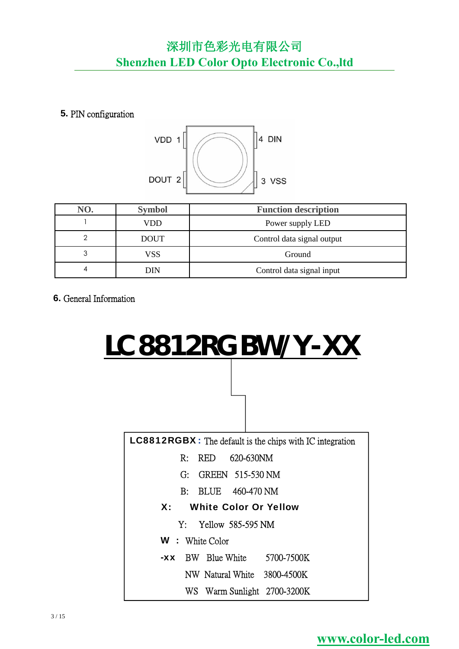**5.** PIN configuration



| NO. | <b>Symbol</b> | <b>Function description</b> |
|-----|---------------|-----------------------------|
|     | VDD           | Power supply LED            |
| ◠   | <b>DOUT</b>   | Control data signal output  |
| 3   | VSS           | Ground                      |
| 4   | DIN           | Control data signal input   |

**6.** General Information

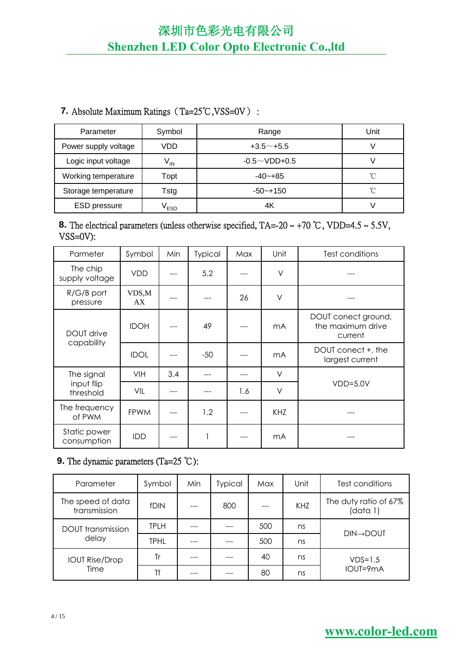### **7.** Absolute Maximum Ratings (Ta=25℃,VSS=0V) :

| Parameter            | Symbol                     | Range               | Unit |
|----------------------|----------------------------|---------------------|------|
| Power supply voltage | VDD                        | $+3.5^{\sim}$ +5.5  |      |
| Logic input voltage  | $\mathsf{V}_{\mathsf{IN}}$ | $-0.5 \sim$ VDD+0.5 |      |
| Working temperature  | Topt                       | $-40 - +85$         | °C   |
| Storage temperature  | Tstg                       | $-50$ ~+150         | °C   |
| <b>ESD</b> pressure  | <sup>V</sup> ESD           | 4K                  |      |

### **8.** The electrical parameters (unless otherwise specified,  $TA = -20 \sim +70$  °C, VDD=4.5  $\sim$  5.5V, VSS=0V):

| Parmeter                        | Symbol      | Min | Typical | Max | Unit           | Test conditions                                     |
|---------------------------------|-------------|-----|---------|-----|----------------|-----------------------------------------------------|
| The chip<br>supply voltage      | <b>VDD</b>  |     | 5.2     |     | $\vee$         |                                                     |
| $R/G/B$ port<br>pressure        | VDS,M<br>AX |     |         | 26  | V              |                                                     |
| <b>DOUT</b> drive<br>capability | <b>IDOH</b> |     | 49      |     | mA             | DOUT conect ground,<br>the maximum drive<br>current |
|                                 | <b>IDOL</b> |     | $-50$   |     | m <sub>A</sub> | DOUT conect +, the<br>largest current               |
| The signal                      | VIH         | 3.4 |         |     | V              |                                                     |
| input flip<br>threshold         | <b>VIL</b>  |     |         | 1.6 | V              | $VDD=5.0V$                                          |
| The frequency<br>of PWM         | <b>FPWM</b> |     | 1.2     |     | <b>KHZ</b>     |                                                     |
| Static power<br>consumption     | IDD         |     | 1       |     | mA             |                                                     |

### **9.** The dynamic parameters (Ta=25 ℃):

| Parameter                         | Symbol      | Min | Typical | Max | Unit | Test conditions                   |
|-----------------------------------|-------------|-----|---------|-----|------|-----------------------------------|
| The speed of data<br>transmission | <b>fDIN</b> |     | 800     |     | KHZ  | The duty ratio of 67%<br>(data 1) |
| <b>DOUT</b> transmission          | <b>TPLH</b> |     |         | 500 | ns   |                                   |
| delay                             | <b>TPHL</b> |     |         | 500 | ns   | <b>DIN→DOUT</b>                   |
| <b>IOUT Rise/Drop</b>             | Tr          |     |         | 40  | ns   | $VDS=1.5$                         |
| Time                              | Τf          |     |         | 80  | ns   | IOUT=9mA                          |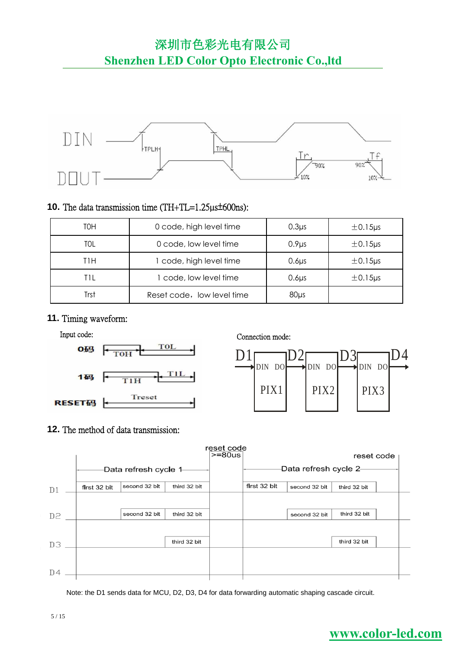深圳市色彩光电有限公司

## **Shenzhen LED Color Opto Electronic Co.,ltd**



### **10.** The data transmission time (TH+TL=1.25µs±600ns):

| TOH  | 0 code, high level time    | 0.3 <sub>µs</sub> | $\pm$ 0.15 $\mu$ s |
|------|----------------------------|-------------------|--------------------|
| TOL  | 0 code, low level time     | 0.9 <sub>µs</sub> | $\pm 0.15$ µs      |
| T1H  | 1 code, high level time    | $0.6\mu$          | $\pm 0.15$ µs      |
| TIL  | 1 code, low level time     | 0.6 <sub>µs</sub> | $\pm$ 0.15 $\mu$ s |
| Trst | Reset code, low level time | $80\mu s$         |                    |

### **11.** Timing waveform:





### **12.** The method of data transmission:



Note: the D1 sends data for MCU, D2, D3, D4 for data forwarding automatic shaping cascade circuit.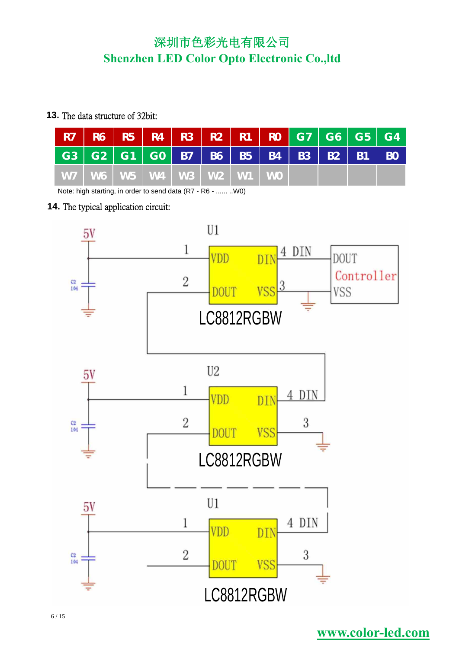### **13.** The data structure of 32bit:

|  | R7   R6   R5   R4   R3   R2   R1   R0   G7   G6   G5   G4 |  |  |  |  |  |
|--|-----------------------------------------------------------|--|--|--|--|--|
|  | G3   G2   G1   G0   B7   B6   B5   B4   B3   B2   B1   B0 |  |  |  |  |  |
|  | W7   W6   W5   W4   W3   W2   W1   W0                     |  |  |  |  |  |

Note: high starting, in order to send data (R7 - R6 - ...... ..W0)

### **14.** The typical application circuit:

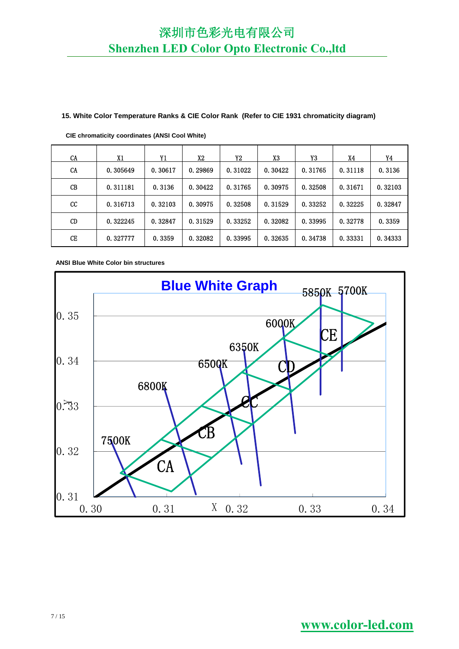#### **15. White Color Temperature Ranks & CIE Color Rank (Refer to CIE 1931 chromaticity diagram)**

| <b>CA</b>   | X1       | Y1      | X2      | Y2      | X3      | Y3      | X4      | Y4      |
|-------------|----------|---------|---------|---------|---------|---------|---------|---------|
| CA          | 0.305649 | 0.30617 | 0.29869 | 0.31022 | 0.30422 | 0.31765 | 0.31118 | 0.3136  |
| CB          | 0.311181 | 0.3136  | 0.30422 | 0.31765 | 0.30975 | 0.32508 | 0.31671 | 0.32103 |
| $_{\rm cc}$ | 0.316713 | 0.32103 | 0.30975 | 0.32508 | 0.31529 | 0.33252 | 0.32225 | 0.32847 |
| CD          | 0.322245 | 0.32847 | 0.31529 | 0.33252 | 0.32082 | 0.33995 | 0.32778 | 0.3359  |
| CE          | 0.327777 | 0.3359  | 0.32082 | 0.33995 | 0.32635 | 0.34738 | 0.33331 | 0.34333 |

**CIE chromaticity coordinates (ANSI Cool White)**

**ANSI Blue White Color bin structures**

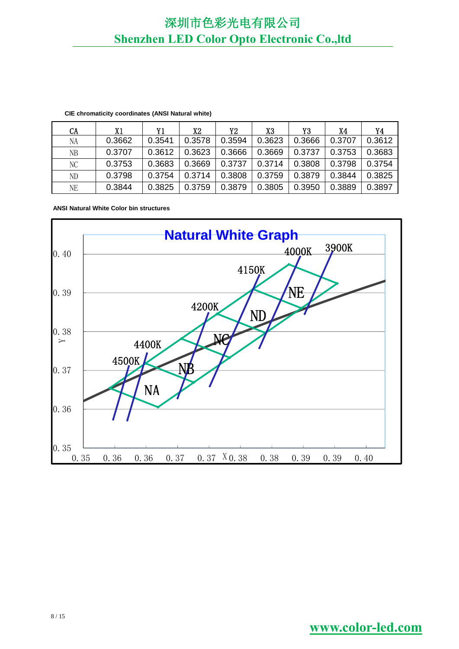| CA | X1     | Υ1     | X2     | Y2     | X3     | Y3     | X4     | Y4     |
|----|--------|--------|--------|--------|--------|--------|--------|--------|
| NA | 0.3662 | 0.3541 | 0.3578 | 0.3594 | 0.3623 | 0.3666 | 0.3707 | 0.3612 |
| NΒ | 0.3707 | 0.3612 | 0.3623 | 0.3666 | 0.3669 | 0.3737 | 0.3753 | 0.3683 |
| NC | 0.3753 | 0.3683 | 0.3669 | 0.3737 | 0.3714 | 0.3808 | 0.3798 | 0.3754 |
| ND | 0.3798 | 0.3754 | 0.3714 | 0.3808 | 0.3759 | 0.3879 | 0.3844 | 0.3825 |
| NE | 0.3844 | 0.3825 | 0.3759 | 0.3879 | 0.3805 | 0.3950 | 0.3889 | 0.3897 |

#### **CIE chromaticity coordinates (ANSI Natural white)**

#### **ANSI Natural White Color bin structures**

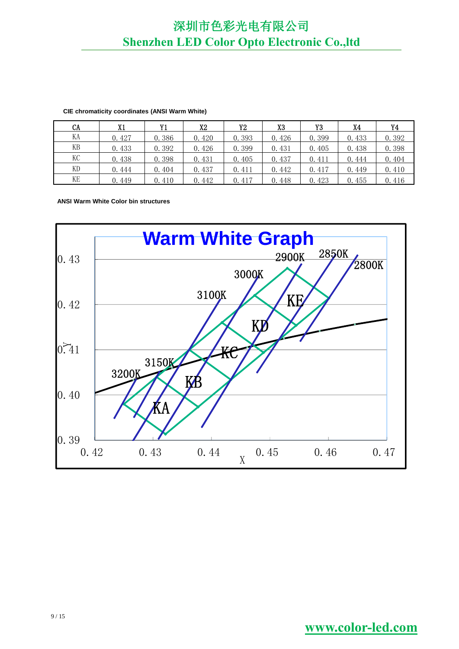| CA | X1    | Y1    | X2    | Y2    | X <sub>3</sub> | Y3    | X4    | Y4    |
|----|-------|-------|-------|-------|----------------|-------|-------|-------|
| KА | 0.427 | 0.386 | 0.420 | 0.393 | 0.426          | 0.399 | 0.433 | 0.392 |
| KВ | 0.433 | 0.392 | 0.426 | 0.399 | 0.431          | 0.405 | 0.438 | 0.398 |
| КC | 0.438 | 0.398 | 0.431 | 0.405 | 0.437          | 0.411 | 0.444 | 0.404 |
| KD | 0.444 | 0.404 | 0.437 | 0.411 | 0.442          | 0.417 | 0.449 | 0.410 |
| KE | 0.449 | 0.410 | 0.442 | 0.417 | 0.448          | 0.423 | 0.455 | 0.416 |

#### **CIE chromaticity coordinates (ANSI Warm White)**

**ANSI Warm White Color bin structures**

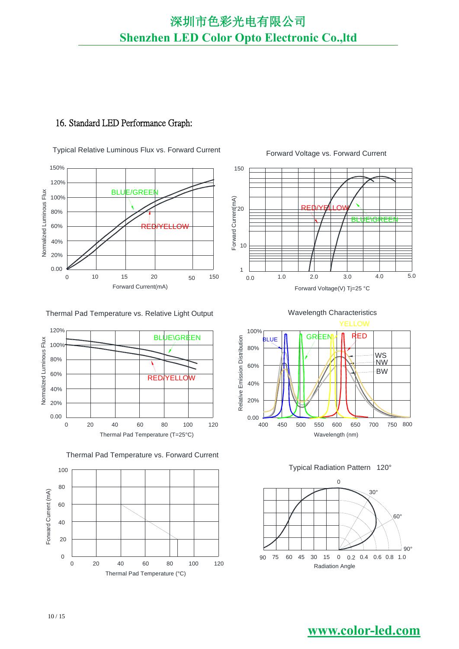### 16. Standard LED Performance Graph:

Typical Relative Luminous Flux vs. Forward Current Forward Voltage vs. Forward Current



#### Thermal Pad Temperature vs. Relative Light Output









100% RED Relative Emission Distribution <sub>JE</sub> |**|**| || GREEI Relative Emission Distribution 80% WS NW 60% BW 40% 20%  $0.00 - 400$ 700 750 800 120 400 450 500 550 600 650





## Wavelength Characteristics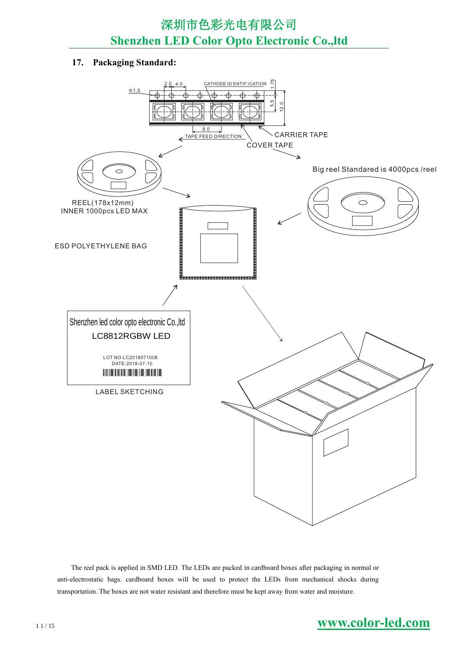### **17. Packaging Standard:**



The reel pack is applied in SMD LED. The LEDs are packed in cardboard boxes after packaging in normal or anti-electrostatic bags. cardboard boxes will be used to protect the LEDs from mechanical shocks during transportation. The boxes are not water resistant and therefore must be kept away from water and moisture.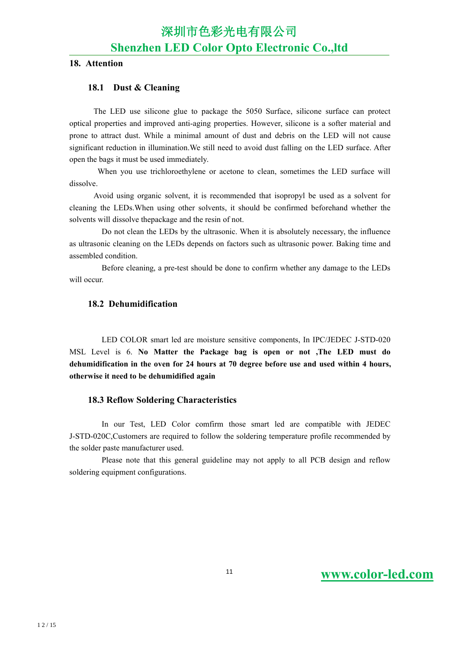### **18. Attention**

### **18.1 Dust & Cleaning**

The LED use silicone glue to package the 5050 Surface, silicone surface can protect optical properties and improved anti-aging properties. However, silicone isa softer material and prone to attract dust. While a minimal amount of dust and debris on the LED will not cause significant reduction in illumination.We still need to avoid dust falling on the LED surface. After open the bags it must be used immediately.

When you use trichloroethylene or acetone to clean, sometimes the LED surface will dissolve.<br>Avoid using organic solvent, it is recommended that isopropyl be used as a solvent for

cleaning the LEDs.When using other solvents, it should be confirmed beforehand whether the solvents will dissolve thepackage and the resin of not.

Do not clean the LEDs by the ultrasonic. When it is absolutely necessary, the influence as ultrasonic cleaning on the LEDs depends on factors such as ultrasonic power. Baking time and assembled condition.

Before cleaning, a pre-test should be done to confirm whether any damage to the LEDs will occur

### **18.2 Dehumidification**

LED COLOR smart led are moisture sensitive components, In IPC/JEDEC J-STD-020 MSL Level is 6. **No Matter the Package bag is open or not,The LED must do dehumidification in the oven for 24 hours at 70 degree before use and used within 4 hours, otherwise it need tobe dehumidified again**

### **18.3 Reflow Soldering Characteristics**

In our Test, LED Color comfirm those smart led are compatible with JEDEC J-STD-020C,Customers are required to follow the soldering temperature profile recommended by the solder paste manufacturer used.

Please note that this general guideline may not apply to all PCB design and reflow soldering equipment configurations.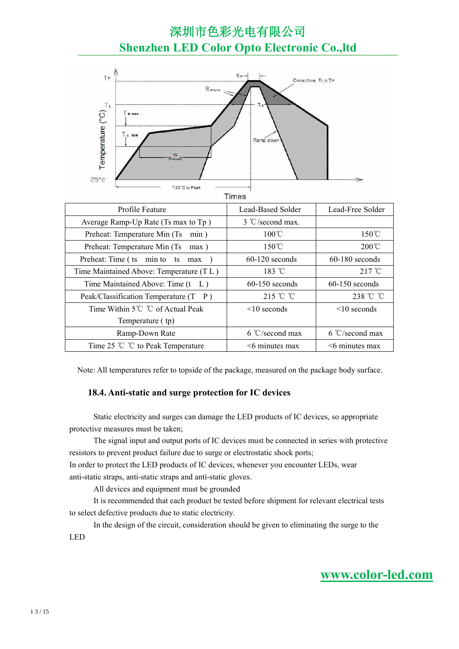

**Times** 

| Lead-Based Solder  | Lead-Free Solder   |
|--------------------|--------------------|
| 3 °C/second max.   |                    |
| $100^{\circ}$ C    | $150^{\circ}$ C    |
| $150^{\circ}$ C    | $200^{\circ}$ C    |
| $60-120$ seconds   | $60-180$ seconds   |
| $183 \text{ °C}$   | $217^{\circ}$ C    |
| $60-150$ seconds   | $60-150$ seconds   |
| 215 °C °C          | 238 °C °C          |
| $\leq 10$ seconds  | $\leq 10$ seconds  |
|                    |                    |
| $6 °C$ /second max | $6 °C$ /second max |
| $<$ 6 minutes max  | $<$ 6 minutes max  |
|                    |                    |

Note: All temperatures refer to topside of the package, measured on the package body surface.

### **18.4. Anti-static and surge protection for IC devices**

Static electricity and surges can damage the LED products of IC devices, so appropriate protective measures must be taken;

The signal input and output ports of IC devices must be connected in series with protective resistors to prevent product failure due to surge or electrostatic shock ports;

In order to protect the LED products of IC devices, whenever you encounter LEDs, wear anti-static straps, anti-static straps and anti-static gloves.

All devices and equipment must be grounded

It is recommended that each product be tested before shipment for relevant electrical tests to select defective products due to static electricity.

In the design of the circuit, consideration should be given to eliminating the surge to the LED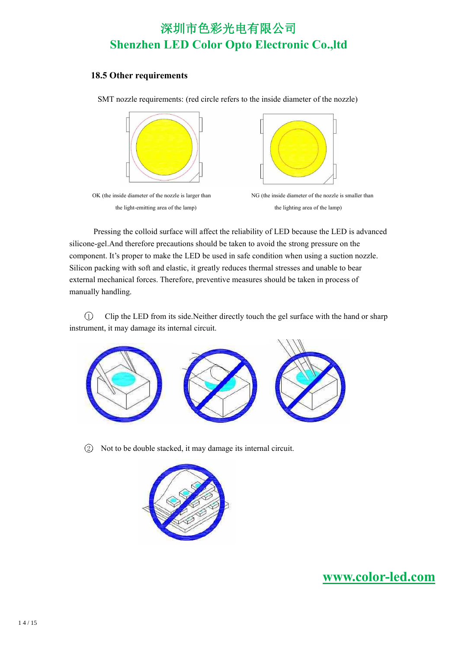### **18.5 Other requirements**

SMT nozzle requirements: (red circle refers to the inside diameter of the nozzle)



the light-emitting area of the lamp) the lighting area of the lamp)



OK (the inside diameter of the nozzle is larger than NG (the inside diameter of the nozzle is smaller than

Pressing the colloid surface will affect the reliability of LED because the LED is advanced silicone-gel.And therefore precautions should be taken to avoid the strong pressure on the component. It's proper to make the LED be used in safe condition when using a suction nozzle. Silicon packing with soft and elastic, it greatly reduces thermal stresses and unable to bear external mechanical forces. Therefore, preventive measures should be taken in process of manually handling.

1 Clip the LED from its side.Neither directly touch the gel surface with the hand or sharp instrument, it may damage its internal circuit.



2 Not to be double stacked, it may damage its internal circuit.